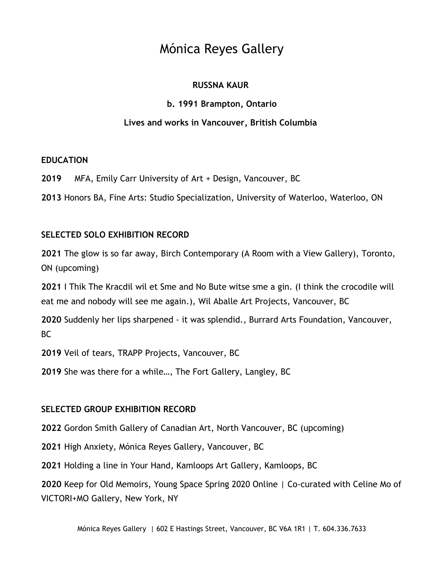## **RUSSNA KAUR**

## **b. 1991 Brampton, Ontario**

## **Lives and works in Vancouver, British Columbia**

### **EDUCATION**

**2019** MFA, Emily Carr University of Art + Design, Vancouver, BC

**2013** Honors BA, Fine Arts: Studio Specialization, University of Waterloo, Waterloo, ON

## **SELECTED SOLO EXHIBITION RECORD**

**2021** The glow is so far away, Birch Contemporary (A Room with a View Gallery), Toronto, ON (upcoming)

**2021** I Thik The Kracdil wil et Sme and No Bute witse sme a gin. (I think the crocodile will eat me and nobody will see me again.), Wil Aballe Art Projects, Vancouver, BC

**2020** Suddenly her lips sharpened - it was splendid., Burrard Arts Foundation, Vancouver, BC

**2019** Veil of tears, TRAPP Projects, Vancouver, BC

**2019** She was there for a while…, The Fort Gallery, Langley, BC

### **SELECTED GROUP EXHIBITION RECORD**

**2022** Gordon Smith Gallery of Canadian Art, North Vancouver, BC (upcoming)

**2021** High Anxiety, Mónica Reyes Gallery, Vancouver, BC

**2021** Holding a line in Your Hand*,* Kamloops Art Gallery, Kamloops, BC

**2020** Keep for Old Memoirs, Young Space Spring 2020 Online | Co-curated with Celine Mo of VICTORI+MO Gallery, New York, NY

Mónica Reyes Gallery | 602 E Hastings Street, Vancouver, BC V6A 1R1 | T. 604.336.7633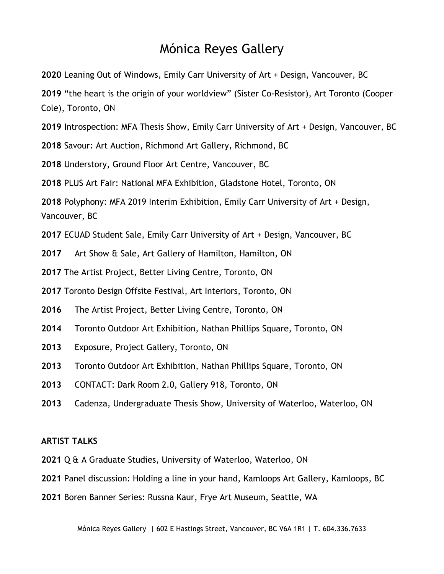Leaning Out of Windows, Emily Carr University of Art + Design, Vancouver, BC

"the heart is the origin of your worldview" (Sister Co-Resistor), Art Toronto (Cooper Cole), Toronto, ON

Introspection: MFA Thesis Show, Emily Carr University of Art + Design, Vancouver, BC

Savour: Art Auction, Richmond Art Gallery, Richmond, BC

Understory, Ground Floor Art Centre, Vancouver, BC

PLUS Art Fair: National MFA Exhibition, Gladstone Hotel, Toronto, ON

 Polyphony: MFA 2019 Interim Exhibition, Emily Carr University of Art + Design, Vancouver, BC

ECUAD Student Sale, Emily Carr University of Art + Design, Vancouver, BC

Art Show & Sale, Art Gallery of Hamilton, Hamilton, ON

The Artist Project, Better Living Centre, Toronto, ON

Toronto Design Offsite Festival, Art Interiors, Toronto, ON

The Artist Project, Better Living Centre, Toronto, ON

- Toronto Outdoor Art Exhibition, Nathan Phillips Square, Toronto, ON
- Exposure, Project Gallery, Toronto, ON
- Toronto Outdoor Art Exhibition, Nathan Phillips Square, Toronto, ON
- CONTACT: Dark Room 2.0, Gallery 918, Toronto, ON
- Cadenza, Undergraduate Thesis Show, University of Waterloo, Waterloo, ON

### **ARTIST TALKS**

- Q & A Graduate Studies, University of Waterloo, Waterloo, ON
- Panel discussion: Holding a line in your hand, Kamloops Art Gallery, Kamloops, BC
- Boren Banner Series: Russna Kaur, Frye Art Museum, Seattle, WA

Mónica Reyes Gallery | 602 E Hastings Street, Vancouver, BC V6A 1R1 | T. 604.336.7633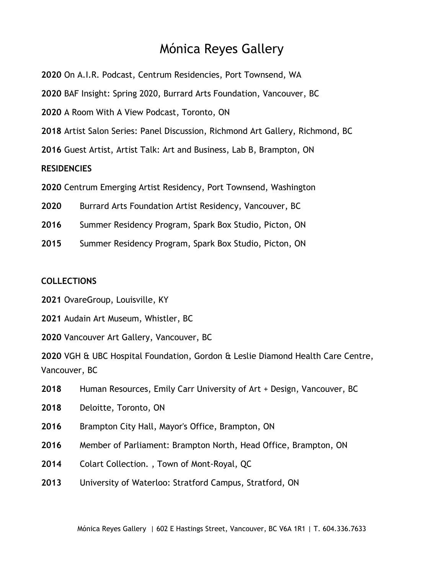- On A.I.R. Podcast, Centrum Residencies, Port Townsend, WA
- BAF Insight: Spring 2020, Burrard Arts Foundation, Vancouver, BC
- A Room With A View Podcast, Toronto, ON
- Artist Salon Series: Panel Discussion, Richmond Art Gallery, Richmond, BC
- Guest Artist, Artist Talk: Art and Business, Lab B, Brampton, ON

### **RESIDENCIES**

- Centrum Emerging Artist Residency, Port Townsend, Washington
- Burrard Arts Foundation Artist Residency, Vancouver, BC
- Summer Residency Program, Spark Box Studio, Picton, ON
- Summer Residency Program, Spark Box Studio, Picton, ON

#### **COLLECTIONS**

- OvareGroup, Louisville, KY
- Audain Art Museum, Whistler, BC
- Vancouver Art Gallery, Vancouver, BC

 VGH & UBC Hospital Foundation, Gordon & Leslie Diamond Health Care Centre, Vancouver, BC

- Human Resources, Emily Carr University of Art + Design, Vancouver, BC
- Deloitte, Toronto, ON
- Brampton City Hall, Mayor's Office, Brampton, ON
- Member of Parliament: Brampton North, Head Office, Brampton, ON
- Colart Collection*.* , Town of Mont-Royal, QC
- University of Waterloo: Stratford Campus, Stratford, ON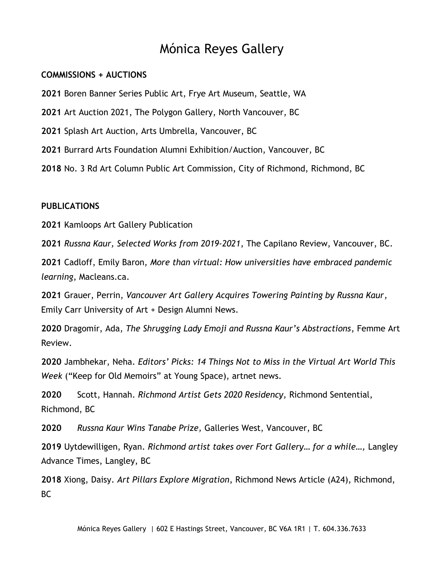#### **COMMISSIONS + AUCTIONS**

**2021** Boren Banner Series Public Art, Frye Art Museum, Seattle, WA

**2021** Art Auction 2021, The Polygon Gallery, North Vancouver, BC

**2021** Splash Art Auction, Arts Umbrella, Vancouver, BC

**2021** Burrard Arts Foundation Alumni Exhibition/Auction, Vancouver, BC

**2018** No. 3 Rd Art Column Public Art Commission, City of Richmond, Richmond, BC

#### **PUBLICATIONS**

**2021** Kamloops Art Gallery Publication

**2021** *Russna Kaur, Selected Works from 2019-2021*, The Capilano Review, Vancouver, BC.

**2021** Cadloff, Emily Baron, *More than virtual: How universities have embraced pandemic learning*, Macleans.ca.

**2021** Grauer, Perrin, *Vancouver Art Gallery Acquires Towering Painting by Russna Kaur*, Emily Carr University of Art + Design Alumni News.

**2020** Dragomir, Ada, *The Shrugging Lady Emoji and Russna Kaur's Abstractions*, Femme Art Review.

**2020** Jambhekar, Neha. *Editors' Picks: 14 Things Not to Miss in the Virtual Art World This Week* ("Keep for Old Memoirs" at Young Space), artnet news.

**2020** Scott, Hannah. *Richmond Artist Gets 2020 Residency,* Richmond Sentential, Richmond, BC

**2020** *Russna Kaur Wins Tanabe Prize,* Galleries West, Vancouver, BC

**2019** Uytdewilligen, Ryan. *Richmond artist takes over Fort Gallery… for a while…,* Langley Advance Times, Langley, BC

**2018** Xiong, Daisy. *Art Pillars Explore Migration*, Richmond News Article (A24), Richmond, BC

Mónica Reyes Gallery | 602 E Hastings Street, Vancouver, BC V6A 1R1 | T. 604.336.7633